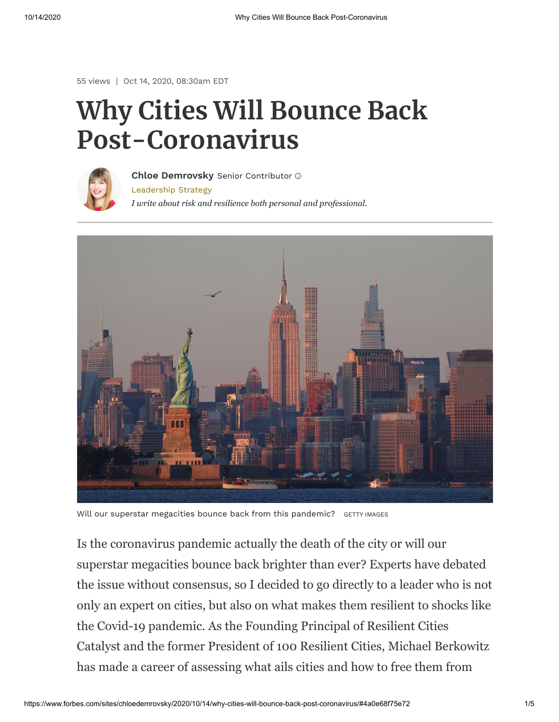55 views | Oct 14, 2020, 08:30am EDT

# **Why Cities Will Bounce Back Post-Coronavirus**



[Leadership](https://www.forbes.com/leadership-strategy) Strategy *I write about risk and resilience both personal and professional.* **Chloe [Demrovsky](https://www.forbes.com/sites/chloedemrovsky/)** Senior Contributor



Will our superstar megacities bounce back from this pandemic? GETTY IMAGES

Is the coronavirus pandemic actually the death of the city or will our superstar megacities bounce back brighter than ever? Experts have debated the issue without consensus, so I decided to go directly to a leader who is not only an expert on cities, but also on what makes them resilient to shocks like the Covid-19 pandemic. As the Founding Principal of Resilient Cities Catalyst and the former President of 100 Resilient Cities, Michael Berkowitz has made a career of assessing what ails cities and how to free them from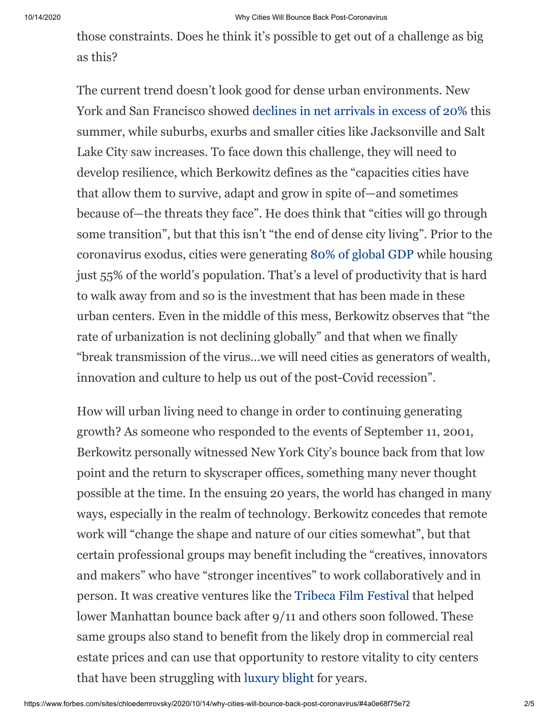those constraints. Does he think it's possible to get out of a challenge as big as this?

The current trend doesn't look good for dense urban environments. New York and San Francisco showed [declines in net arrivals in excess of 20%](https://www.linkedin.com/pulse/so-long-big-city-handling-pandemic-often-means-calling-george-anders/?published=t) this summer, while suburbs, exurbs and smaller cities like Jacksonville and Salt Lake City saw increases. To face down this challenge, they will need to develop resilience, which Berkowitz defines as the "capacities cities have that allow them to survive, adapt and grow in spite of—and sometimes because of—the threats they face". He does think that "cities will go through some transition", but that this isn't "the end of dense city living". Prior to the coronavirus exodus, cities were generating [80% of global GDP](https://www.worldbank.org/en/topic/urbandevelopment/overview) while housing just 55% of the world's population. That's a level of productivity that is hard to walk away from and so is the investment that has been made in these urban centers. Even in the middle of this mess, Berkowitz observes that "the rate of urbanization is not declining globally" and that when we finally "break transmission of the virus…we will need cities as generators of wealth, innovation and culture to help us out of the post-Covid recession".

How will urban living need to change in order to continuing generating growth? As someone who responded to the events of September 11, 2001, Berkowitz personally witnessed New York City's bounce back from that low point and the return to skyscraper offices, something many never thought possible at the time. In the ensuing 20 years, the world has changed in many ways, especially in the realm of technology. Berkowitz concedes that remote work will "change the shape and nature of our cities somewhat", but that certain professional groups may benefit including the "creatives, innovators and makers" who have "stronger incentives" to work collaboratively and in person. It was creative ventures like the [Tribeca Film Festival](https://tribecafilm.com/festival/about-tff) that helped lower Manhattan bounce back after 9/11 and others soon followed. These same groups also stand to benefit from the likely drop in commercial real estate prices and can use that opportunity to restore vitality to city centers that have been struggling with [luxury blight](https://www.nytimes.com/2017/05/31/fashion/bleecker-street-shopping-empty-storefronts.html) for years.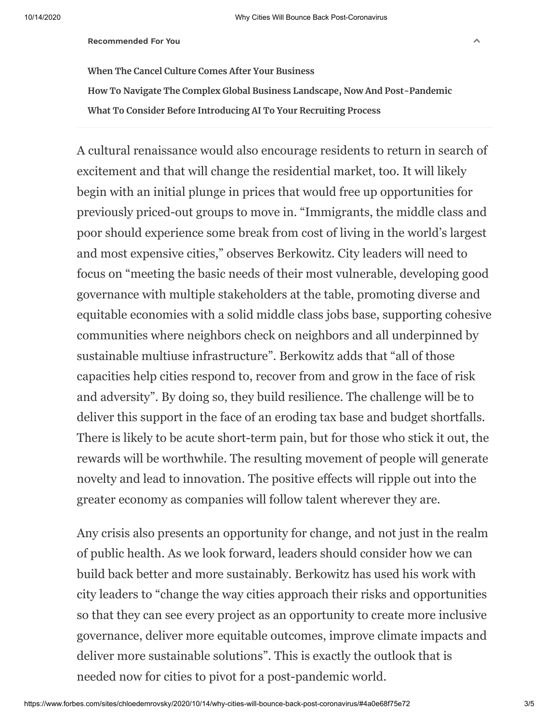### **Recommended For You**

**[When The Cancel Culture Comes After Your Business](https://www.forbes.com/sites/billconerly/2020/10/14/when-the-cancel-culture-comes-after-your-business/) [How To Navigate The Complex Global Business Landscape, Now And Post-Pandemic](https://www.forbes.com/sites/benjaminlaker/2020/10/14/how-to-navigate-the-complex-global-business-landscape-now-and-post-pandemic/) [What To Consider Before Introducing AI](https://www.forbes.com/sites/forbesbusinesscouncil/2020/06/09/what-to-consider-before-introducing-ai-to-your-recruiting-process/) To Your Recruiting Process**

A cultural renaissance would also encourage residents to return in search of excitement and that will change the residential market, too. It will likely begin with an initial plunge in prices that would free up opportunities for previously priced-out groups to move in. "Immigrants, the middle class and poor should experience some break from cost of living in the world's largest and most expensive cities," observes Berkowitz. City leaders will need to focus on "meeting the basic needs of their most vulnerable, developing good governance with multiple stakeholders at the table, promoting diverse and equitable economies with a solid middle class jobs base, supporting cohesive communities where neighbors check on neighbors and all underpinned by sustainable multiuse infrastructure". Berkowitz adds that "all of those capacities help cities respond to, recover from and grow in the face of risk and adversity". By doing so, they build resilience. The challenge will be to deliver this support in the face of an eroding tax base and budget shortfalls. There is likely to be acute short-term pain, but for those who stick it out, the rewards will be worthwhile. The resulting movement of people will generate novelty and lead to innovation. The positive effects will ripple out into the greater economy as companies will follow talent wherever they are.

Any crisis also presents an opportunity for change, and not just in the realm of public health. As we look forward, leaders should consider how we can build back better and more sustainably. Berkowitz has used his work with city leaders to "change the way cities approach their risks and opportunities so that they can see every project as an opportunity to create more inclusive governance, deliver more equitable outcomes, improve climate impacts and deliver more sustainable solutions". This is exactly the outlook that is needed now for cities to pivot for a post-pandemic world.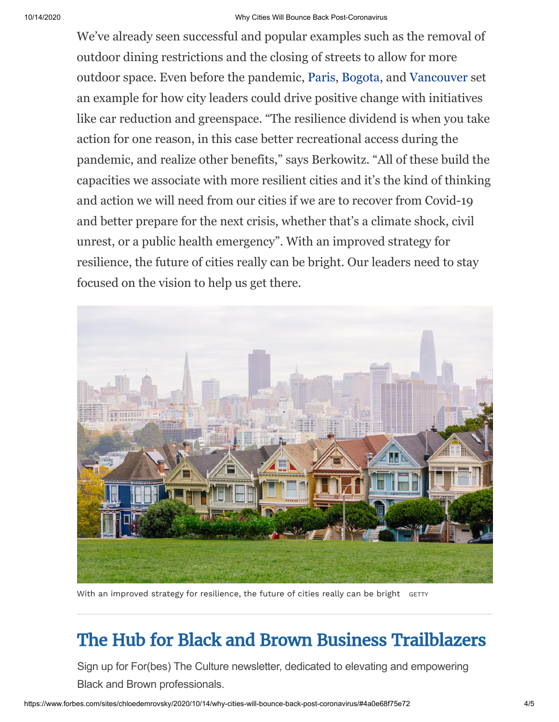#### 10/14/2020 Why Cities Will Bounce Back Post-Coronavirus

We've already seen successful and popular examples such as the removal of outdoor dining restrictions and the closing of streets to allow for more outdoor space. Even before the pandemic, [Paris](https://www.greenbiz.com/article/paris-resilience-innovator), [Bogota](https://www.preventionweb.net/news/view/66645), and [Vancouver](https://vancouver.ca/news-calendar/city-launches-resilient-vancouver-strategy.aspx) set an example for how city leaders could drive positive change with initiatives like car reduction and greenspace. "The resilience dividend is when you take action for one reason, in this case better recreational access during the pandemic, and realize other benefits," says Berkowitz. "All of these build the capacities we associate with more resilient cities and it's the kind of thinking and action we will need from our cities if we are to recover from Covid-19 and better prepare for the next crisis, whether that's a climate shock, civil unrest, or a public health emergency". With an improved strategy for resilience, the future of cities really can be bright. Our leaders need to stay focused on the vision to help us get there.



With an improved strategy for resilience, the future of cities really can be bright GETTY

## The Hub for Black and Brown Business Trailblazers

Sign up for For(bes) The Culture newsletter, dedicated to elevating and empowering Black and Brown professionals.